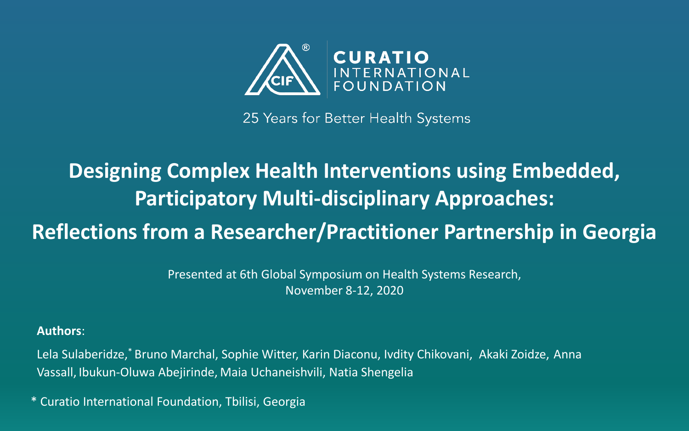

25 Years for Better Health Systems

### **Designing Complex Health Interventions using Embedded, Participatory Multi-disciplinary Approaches: Reflections from a Researcher/Practitioner Partnership in Georgia**

Presented at 6th Global Symposium on Health Systems Research, November 8-12, 2020

**Authors**:

Lela Sulaberidze,\* Bruno Marchal, Sophie Witter, Karin Diaconu, Ivdity Chikovani, Akaki Zoidze, Anna Vassall, Ibukun-Oluwa Abejirinde, Maia Uchaneishvili, Natia Shengelia

\* Curatio International Foundation, Tbilisi, Georgia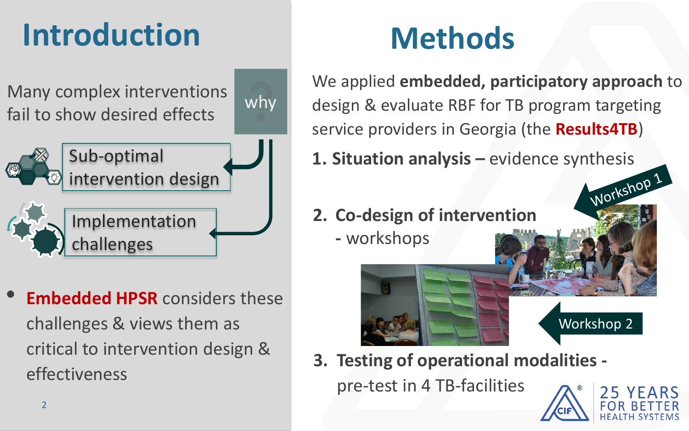# **Introduction**

Many complex interventions fail to show desired effects

why



**Embedded HPSR** considers these challenges & views them as critical to intervention design & effectiveness

# **Methods**

We applied **embedded, participatory approach** to design & evaluate RBF for TB program targeting service providers in Georgia (the **Results4TB**) **1. Situation analysis –** evidence synthesis

**2. Co-design of intervention**

**-** workshops

## Workshop 2

**3. Testing of operational modalities -**

pre-test in 4 TB-facilities



Workshop 1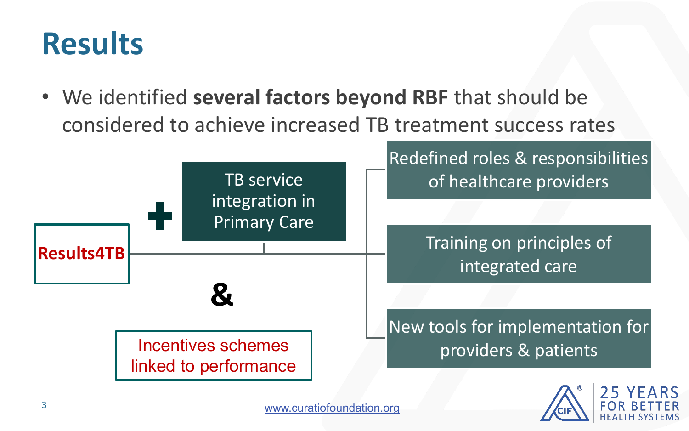### **Results**

• We identified **several factors beyond RBF** that should be considered to achieve increased TB treatment success rates

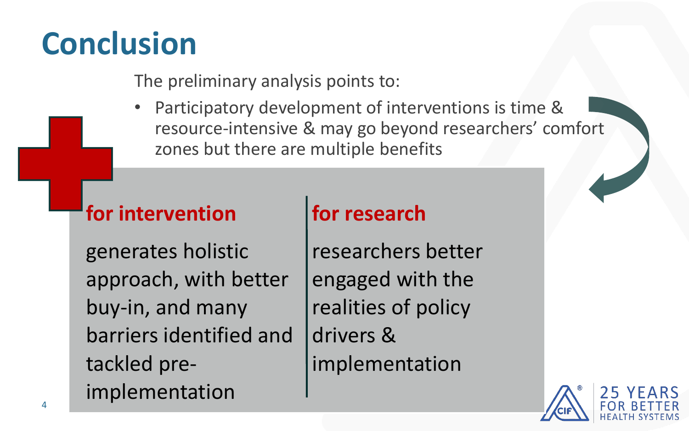## **Conclusion**

The preliminary analysis points to:

Participatory development of interventions is time & resource-intensive & may go beyond researchers' comfort zones but there are multiple benefits

### **for intervention**

### **for research**

generates holistic approach, with better buy-in, and many barriers identified and tackled preimplementation

researchers better engaged with the realities of policy drivers & implementation